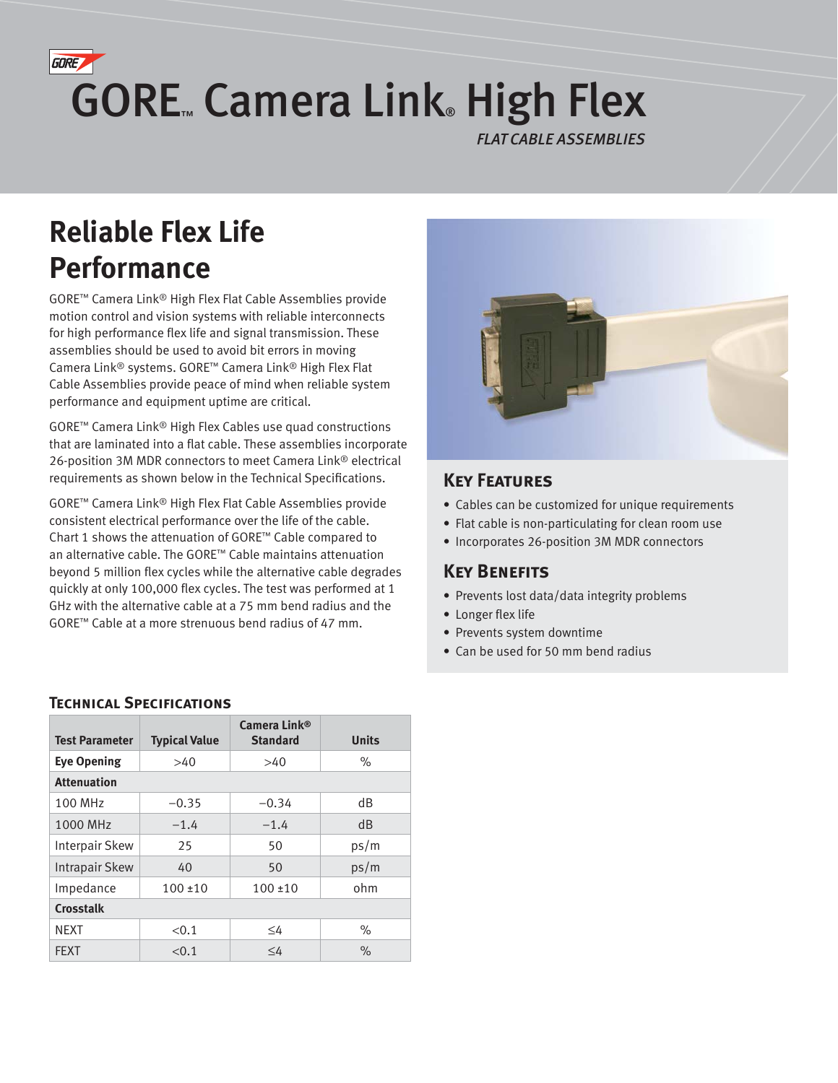# **GORE** GORE. Camera Link High Flex

*FLAT CABLE ASSEMBLIES*

## **Reliable Flex Life Performance**

GORE™ Camera Link® High Flex Flat Cable Assemblies provide motion control and vision systems with reliable interconnects for high performance flex life and signal transmission. These assemblies should be used to avoid bit errors in moving Camera Link® systems. GORE™ Camera Link® High Flex Flat Cable Assemblies provide peace of mind when reliable system performance and equipment uptime are critical.

GORE™ Camera Link® High Flex Cables use quad constructions that are laminated into a flat cable. These assemblies incorporate 26-position 3M MDR connectors to meet Camera Link® electrical requirements as shown below in the Technical Specifications.

GORE™ Camera Link® High Flex Flat Cable Assemblies provide consistent electrical performance over the life of the cable. Chart 1 shows the attenuation of GORE™ Cable compared to an alternative cable. The GORE™ Cable maintains attenuation beyond 5 million flex cycles while the alternative cable degrades quickly at only 100,000 flex cycles. The test was performed at 1 GHz with the alternative cable at a 75 mm bend radius and the GORE™ Cable at a more strenuous bend radius of 47 mm.



### **Key Features**

- Cables can be customized for unique requirements
- Flat cable is non-particulating for clean room use
- Incorporates 26-position 3M MDR connectors

## **KEY BENEFITS**

- Prevents lost data/data integrity problems
- Longer flex life
- Prevents system downtime
- Can be used for 50 mm bend radius

#### **TECHNICAL SPECIFICATIONS**

| <b>Test Parameter</b> | <b>Typical Value</b> | Camera Link <sup>®</sup><br><b>Standard</b> | <b>Units</b>  |  |  |  |  |  |
|-----------------------|----------------------|---------------------------------------------|---------------|--|--|--|--|--|
| <b>Eye Opening</b>    | >40                  | >40                                         | $\%$          |  |  |  |  |  |
| <b>Attenuation</b>    |                      |                                             |               |  |  |  |  |  |
| 100 MHz               | $-0.35$              | $-0.34$                                     | dB            |  |  |  |  |  |
| 1000 MHz              | $-1.4$               | $-1.4$                                      | dB            |  |  |  |  |  |
| Interpair Skew        | 25                   | 50                                          | ps/m          |  |  |  |  |  |
| Intrapair Skew        | 40                   | 50                                          | ps/m          |  |  |  |  |  |
| Impedance             | $100 \pm 10$         | $100 \pm 10$                                | ohm           |  |  |  |  |  |
| <b>Crosstalk</b>      |                      |                                             |               |  |  |  |  |  |
| <b>NEXT</b>           | < 0.1                | $\leq 4$                                    | $\%$          |  |  |  |  |  |
| <b>FFXT</b>           | < 0.1                | $\leq 4$                                    | $\frac{1}{2}$ |  |  |  |  |  |